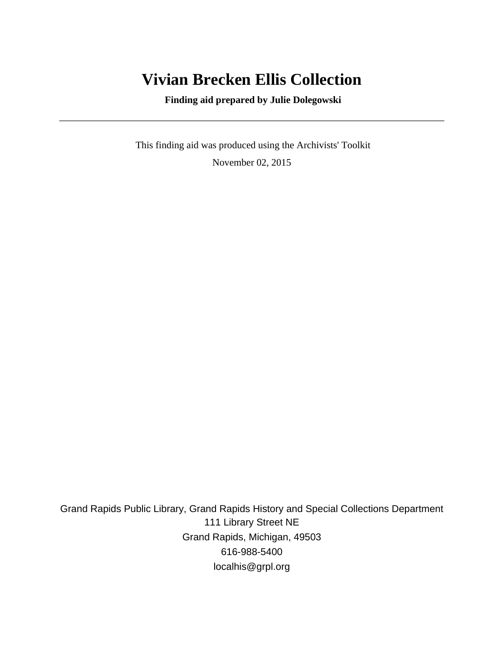# **Vivian Brecken Ellis Collection**

 **Finding aid prepared by Julie Dolegowski**

 This finding aid was produced using the Archivists' Toolkit November 02, 2015

Grand Rapids Public Library, Grand Rapids History and Special Collections Department 111 Library Street NE Grand Rapids, Michigan, 49503 616-988-5400 localhis@grpl.org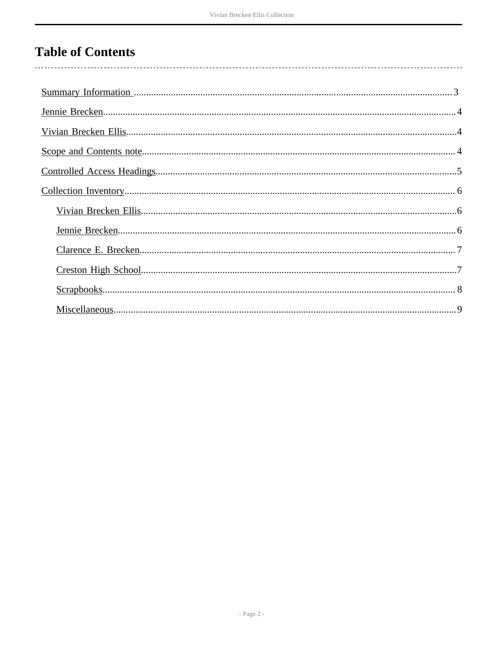## **Table of Contents**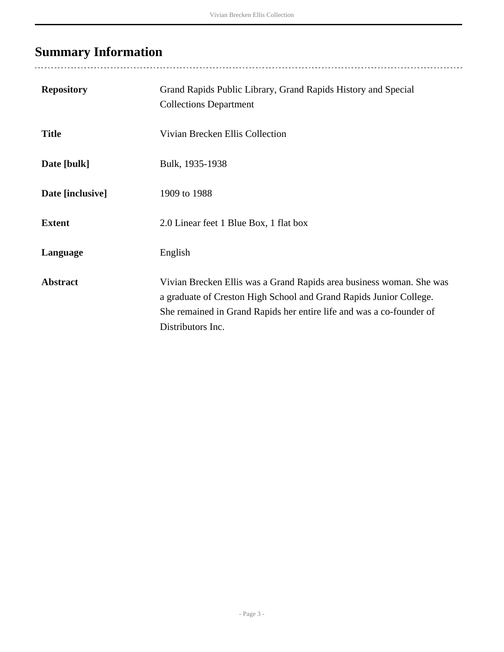# <span id="page-2-0"></span>**Summary Information**

| <b>Repository</b> | Grand Rapids Public Library, Grand Rapids History and Special<br><b>Collections Department</b>                                                                                                                                          |
|-------------------|-----------------------------------------------------------------------------------------------------------------------------------------------------------------------------------------------------------------------------------------|
| <b>Title</b>      | Vivian Brecken Ellis Collection                                                                                                                                                                                                         |
| Date [bulk]       | Bulk, 1935-1938                                                                                                                                                                                                                         |
| Date [inclusive]  | 1909 to 1988                                                                                                                                                                                                                            |
| <b>Extent</b>     | 2.0 Linear feet 1 Blue Box, 1 flat box                                                                                                                                                                                                  |
| Language          | English                                                                                                                                                                                                                                 |
| <b>Abstract</b>   | Vivian Brecken Ellis was a Grand Rapids area business woman. She was<br>a graduate of Creston High School and Grand Rapids Junior College.<br>She remained in Grand Rapids her entire life and was a co-founder of<br>Distributors Inc. |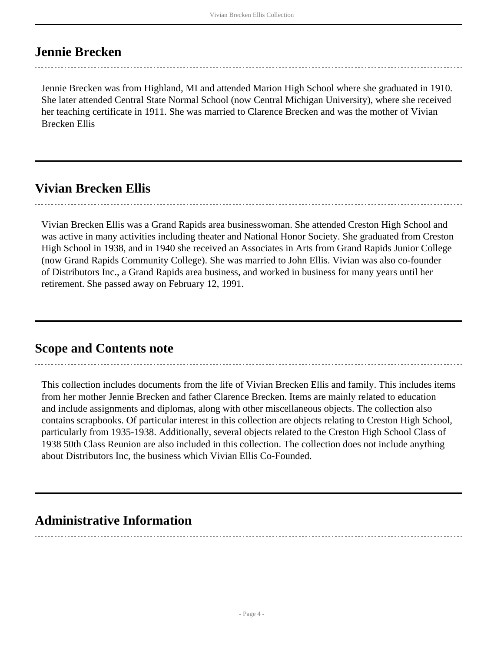### <span id="page-3-0"></span>**Jennie Brecken**

Jennie Brecken was from Highland, MI and attended Marion High School where she graduated in 1910. She later attended Central State Normal School (now Central Michigan University), where she received her teaching certificate in 1911. She was married to Clarence Brecken and was the mother of Vivian Brecken Ellis

### <span id="page-3-1"></span>**Vivian Brecken Ellis**

Vivian Brecken Ellis was a Grand Rapids area businesswoman. She attended Creston High School and was active in many activities including theater and National Honor Society. She graduated from Creston High School in 1938, and in 1940 she received an Associates in Arts from Grand Rapids Junior College (now Grand Rapids Community College). She was married to John Ellis. Vivian was also co-founder of Distributors Inc., a Grand Rapids area business, and worked in business for many years until her retirement. She passed away on February 12, 1991.

### <span id="page-3-2"></span>**Scope and Contents note**

This collection includes documents from the life of Vivian Brecken Ellis and family. This includes items from her mother Jennie Brecken and father Clarence Brecken. Items are mainly related to education and include assignments and diplomas, along with other miscellaneous objects. The collection also contains scrapbooks. Of particular interest in this collection are objects relating to Creston High School, particularly from 1935-1938. Additionally, several objects related to the Creston High School Class of 1938 50th Class Reunion are also included in this collection. The collection does not include anything about Distributors Inc, the business which Vivian Ellis Co-Founded.

### **Administrative Information**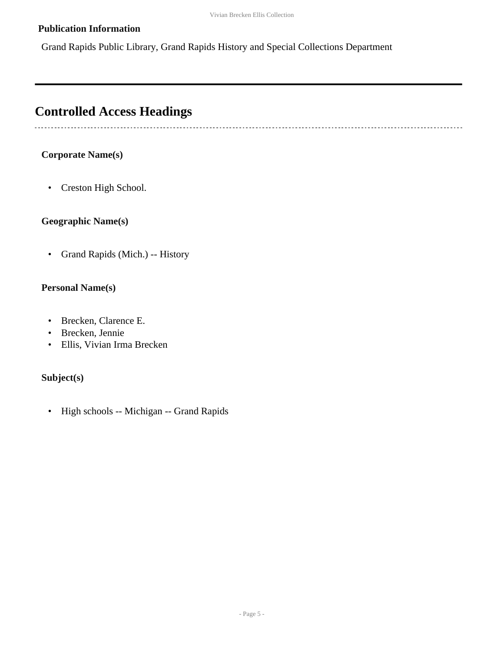#### **Publication Information**

Grand Rapids Public Library, Grand Rapids History and Special Collections Department

### <span id="page-4-0"></span>**Controlled Access Headings**

#### **Corporate Name(s)**

• Creston High School.

#### **Geographic Name(s)**

• Grand Rapids (Mich.) -- History

#### **Personal Name(s)**

- Brecken, Clarence E.
- Brecken, Jennie
- Ellis, Vivian Irma Brecken

#### **Subject(s)**

• High schools -- Michigan -- Grand Rapids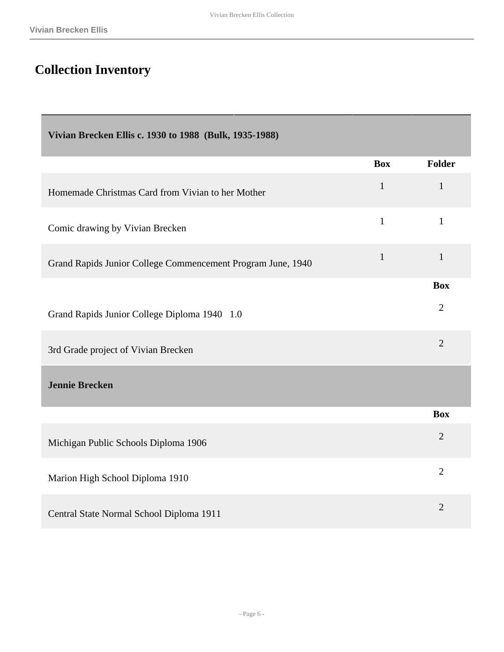# <span id="page-5-0"></span>**Collection Inventory**

<span id="page-5-2"></span><span id="page-5-1"></span>

| Vivian Brecken Ellis c. 1930 to 1988 (Bulk, 1935-1988)      |              |                |
|-------------------------------------------------------------|--------------|----------------|
|                                                             | <b>Box</b>   | Folder         |
| Homemade Christmas Card from Vivian to her Mother           | $\mathbf{1}$ | $\mathbf{1}$   |
| Comic drawing by Vivian Brecken                             | $\mathbf{1}$ | $\mathbf{1}$   |
| Grand Rapids Junior College Commencement Program June, 1940 | $\mathbf{1}$ | $\mathbf{1}$   |
|                                                             |              | <b>Box</b>     |
| Grand Rapids Junior College Diploma 1940 1.0                |              | $\overline{2}$ |
| 3rd Grade project of Vivian Brecken                         |              | $\overline{2}$ |
| <b>Jennie Brecken</b>                                       |              |                |
|                                                             |              | <b>Box</b>     |
| Michigan Public Schools Diploma 1906                        |              | $\overline{2}$ |
| Marion High School Diploma 1910                             |              | $\overline{2}$ |
| Central State Normal School Diploma 1911                    |              | $\overline{2}$ |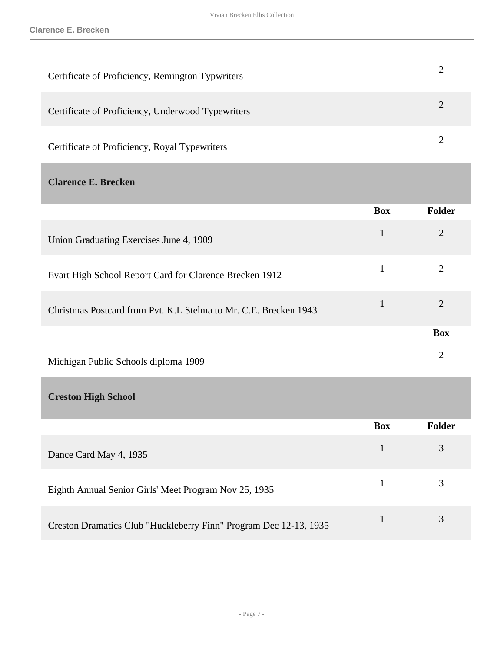| Certificate of Proficiency, Remington Typwriters  |   |
|---------------------------------------------------|---|
| Certificate of Proficiency, Underwood Typewriters | 2 |
| Certificate of Proficiency, Royal Typewriters     | 2 |
| <b>Clarence E. Brecken</b>                        |   |

<span id="page-6-0"></span>

|                                                                  | <b>Box</b>   | <b>Folder</b>  |
|------------------------------------------------------------------|--------------|----------------|
| Union Graduating Exercises June 4, 1909                          | $\mathbf{1}$ | 2              |
| Evart High School Report Card for Clarence Brecken 1912          | 1            | $\overline{2}$ |
| Christmas Postcard from Pvt. K.L Stelma to Mr. C.E. Brecken 1943 | 1            | $\overline{2}$ |
|                                                                  |              | <b>Box</b>     |
| Michigan Public Schools diploma 1909                             |              | $\overline{2}$ |
| <b>Creston High School</b>                                       |              |                |
|                                                                  | <b>Box</b>   | <b>Folder</b>  |

<span id="page-6-1"></span>

|                                                                   | <b>BOX</b> | r older |
|-------------------------------------------------------------------|------------|---------|
| Dance Card May 4, 1935                                            |            |         |
| Eighth Annual Senior Girls' Meet Program Nov 25, 1935             |            |         |
| Creston Dramatics Club "Huckleberry Finn" Program Dec 12-13, 1935 |            |         |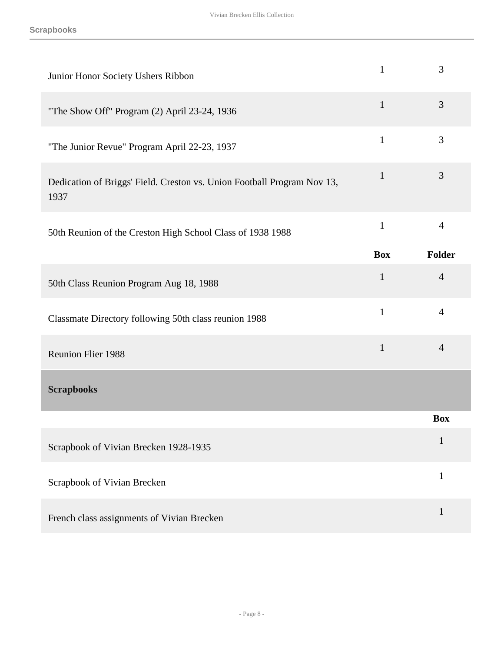<span id="page-7-0"></span>

| Junior Honor Society Ushers Ribbon                                              | $\mathbf{1}$ | 3              |
|---------------------------------------------------------------------------------|--------------|----------------|
| "The Show Off" Program (2) April 23-24, 1936                                    | $\mathbf{1}$ | 3              |
| "The Junior Revue" Program April 22-23, 1937                                    | $\mathbf{1}$ | 3              |
| Dedication of Briggs' Field. Creston vs. Union Football Program Nov 13,<br>1937 | $\mathbf{1}$ | 3              |
| 50th Reunion of the Creston High School Class of 1938 1988                      | $\mathbf{1}$ | $\overline{4}$ |
|                                                                                 | <b>Box</b>   | Folder         |
| 50th Class Reunion Program Aug 18, 1988                                         | $\mathbf{1}$ | $\overline{4}$ |
| Classmate Directory following 50th class reunion 1988                           | $\mathbf{1}$ | $\overline{4}$ |
| <b>Reunion Flier 1988</b>                                                       | $\mathbf{1}$ | $\overline{4}$ |
| <b>Scrapbooks</b>                                                               |              |                |
|                                                                                 |              | <b>Box</b>     |
| Scrapbook of Vivian Brecken 1928-1935                                           |              | $\mathbf{1}$   |
| Scrapbook of Vivian Brecken                                                     |              | $\mathbf{1}$   |
| French class assignments of Vivian Brecken                                      |              | $\mathbf{1}$   |